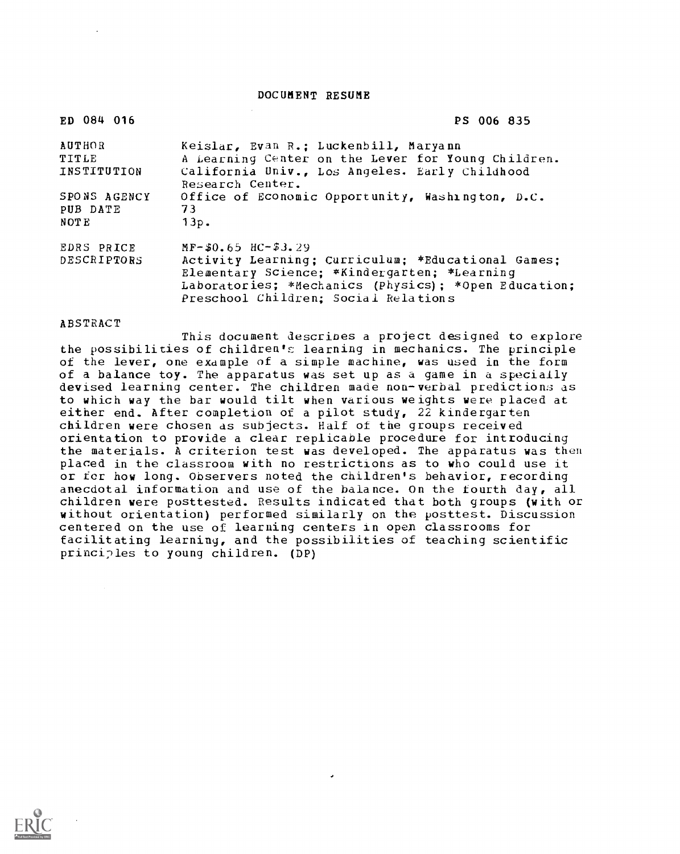DOCUMENT RESUME

| ED 084 016   | PS 006 835                                                         |
|--------------|--------------------------------------------------------------------|
| AUTHOR       | Keislar, Evan R.; Luckenbill, Maryann                              |
| TITLE        | A Learning Center on the Lever for Young Children.                 |
| INSTITUTION  | California Univ., Los Angeles. Early Childhood<br>Research Center. |
| SPONS AGENCY | Office of Economic Opportunity, Washington, D.C.                   |
| PUB DATE     | 73                                                                 |
| NOTE         | 13p.                                                               |
| EDRS PRICE   | $MF-50.65$ HC-53.29                                                |
| DESCRIPTORS  | Activity Learning; Curriculum; *Educational Games;                 |
|              | Elementary Science; *Kindergarten; *Learning                       |
|              | Laboratories; *Mechanics (Physics); *Open Education;               |
|              | Preschool Children; Social Relations                               |

### ABSTRACT

This document describes a project designed to explore the possibilities of children's learning in mechanics. The principle of the lever, one example of a simple machine, was used in the form of a balance toy. The apparatus was set up as a game in a specially devised learning center. The children made non-verbal predictions as to which way the bar would tilt when various weights were placed at either end. After completion of a pilot study, 22 kindergarten children were chosen as subjects. Half of the groups received orientation to provide a clear replicable procedure for introducing the materials. A criterion test was developed. The apparatus was then placed in the classroom with no restrictions as to who could use it or for how long. Observers noted the children's behavior, recording anecdotal information and use of the balance. On the fourth day, all children were posttested. Results indicated that both groups (with or without orientation) performed similarly on the posttest. Discussion centered on the use of learning centers in open classrooms for facilitating learning, and the possibilities of teaching scientific principles to young children. (DP)

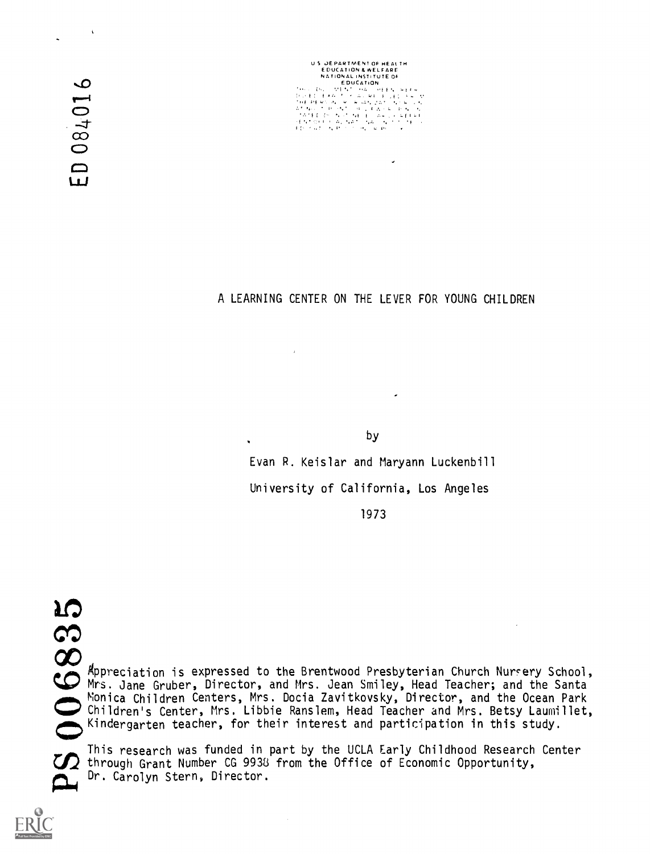08401  $\Box$  U S. DEPARTMENT OF HEALTH<br>- EDUCATION & WELFARE<br>- NATIONAL INSTITUTE OF<br>- EDUCATION

A LEARNING CENTER ON THE LEVER FOR YOUNG CHILDREN

by

Evan R. Keislar and Maryann Luckenbill

University of California, Los Angeles

1973

6835 Appreciation is expressed to the Brentwood Presbyterian Church Nursery School, Mrs. Jane Gruber, Director, and Mrs. Jean Smiley, Head Teacher; and the Santa Children's Center, Mrs. Libbie Ranslem, Head Teacher and Mrs. Betsy Laumillet, Monica Children Centers, Mrs. Docia Zavitkovsky, Director, and the Ocean Park Kindergarten teacher, for their interest and participation in this study.

This research was funded in part by the UCLA Early Childhood Research Center  $\sum$  through Grant Number CG 9938 from the Office of Economic Opportunity, **global** Dr. Carolyn Stern, Director.

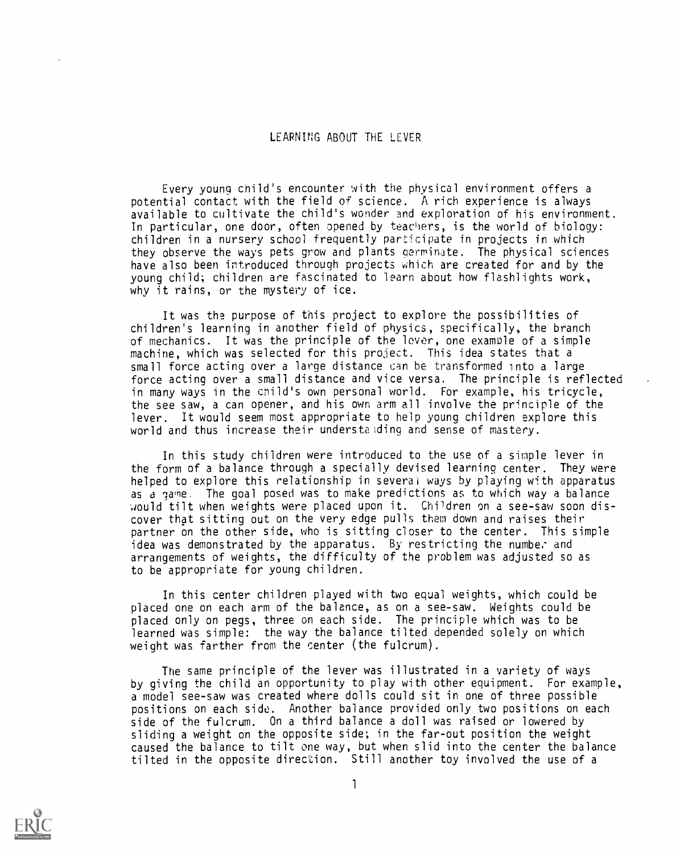### LEARNING ABOUT THE LEVER

Every young child's encounter with the physical environment offers a potential contact with the field of science. A rich experience is always available to cultivate the child's wonder and exploration of his environment. In particular, one door, often opened by teachers, is the world of biology: children in a nursery school frequently participate in projects in which they observe the ways pets grow and plants germinate. The physical sciences have also been introduced through projects which are created for and by the young child; children are fascinated to learn about how flashlights work, why it rains, or the mystery of ice.

It was the purpose of this project to explore the possibilities of children's learning in another field of physics, specifically, the branch of mechanics. It was the principle of the lever, one example of a simple machine, which was selected for this project. This idea states that a small force acting over a large distance can be transformed into a large force acting over a small distance and vice versa. The principle is reflected in many ways in the child's own personal world. For example, his tricycle, the see saw, a can opener, and his own arm all involve the principle of the lever. It would seem most appropriate to help young children explore this world and thus increase their understanding and sense of mastery.

In this study children were introduced to the use of a simple lever in the form of a balance through a specially devised learning center. They were helped to explore this relationship in several ways by playing with apparatus as a game. The goal posed was to make predictions as to which way a balance would tilt when weights were placed upon it. Children on a see-saw soon discover that sitting out on the very edge pulls them down and raises their partner on the other side, who is sitting closer to the center. This simple idea was demonstrated by the apparatus. By restricting the number and arrangements of weights, the difficulty of the problem was adjusted so as to be appropriate for young children.

In this center children played with two equal weights, which could be placed one on each arm of the balance, as on a see-saw. Weights could be placed only on pegs, three on each side. The principle which was to be learned was simple: the way the balance tilted depended solely on which weight was farther from the center (the fulcrum).

The same principle of the lever was illustrated in a variety of ways by giving the child an opportunity to play with other equipment. For example, a model see-saw was created where dolls could sit in one of three possible positions on each side. Another balance provided only two positions on each side of the fulcrum. On a third balance a doll was raised or lowered by sliding a weight on the opposite side; in the far-out position the weight caused the balance to tilt one way, but when slid into the center the balance tilted in the opposite direction. Still another toy involved the use of a

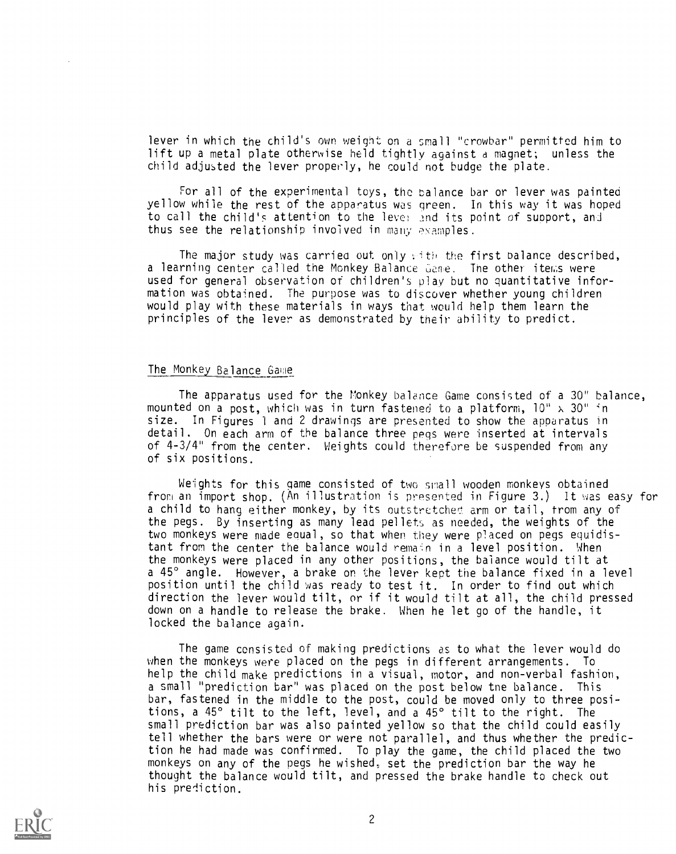lever in which the child's own weight on a small "crowbar" permitted him to lift up a metal plate otherwise held tightly against a magnet; unless the child adjusted the lever properly, he could not budge the plate.

For all of the experimental toys, the balance bar or lever was painted yellow while the rest of the apparatus was green. In this way it was hoped to call the child's attention to the lever and its point of support, and thus see the relationship involved in many examples.

The major study was carried out only with the first balance described, a learning center called the Monkey Balance Game. The other items were used for general observation of children's play but no quantitative information was obtained. The purpose was to discover whether young children would play with these materials in ways that would help them learn the principles of the lever as demonstrated by their ability to predict.

### The Monkey Balance Game

The apparatus used for the Monkey balance Game consisted of a 30" balance, mounted on a post, which was in turn fastened to a platform,  $10'' \times 30''$  in size. In Figures <sup>1</sup> and 2 drawings are presented to show the apparatus in detail. On each arm of the balance three pegs were inserted at intervals of 4-3/4" from the center. Weights could therefore be suspended from any of six positions.

Weights for this game consisted of two small wooden monkeys obtained from an import shop. (An illustration is presented in Figure 3.) It was easy for a child to hang either monkey, by its outstretched arm or tail, from any of the pegs. By inserting as many lead pellets as needed, the weights of the two monkeys were made equal, so that when they were placed on pegs equidistant from the center the balance would remain in a level position. When the monkeys were placed in any other positions, the balance would tilt at a 45° angle. However, a brake or the lever kept the balance fixed in a level position until the child was ready to test it. In order to find out which direction the lever would tilt, or if it would tilt at all, the child pressed down on a handle to release the brake. When he let go of the handle, it locked the balance again.

The game consisted of making predictions as to what the lever would do when the monkeys were placed on the pegs in different arrangements. To help the child make predictions in a visual, motor, and non-verbal fashion, a small "prediction bar" was placed on the post below tne balance. This bar, fastened in the middle to the post, could be moved only to three positions, a 45° tilt to the left, level, and a 45° tilt to the right. The small prediction bar was also painted yellow so that the child could easily tell whether the bars were or were not parallel, and thus whether the prediction he had made was confirmed. To play the game, the child placed the two monkeys on any of the pegs he wished, set the prediction bar the way he thought the balance would tilt, and pressed the brake handle to check out his prediction.

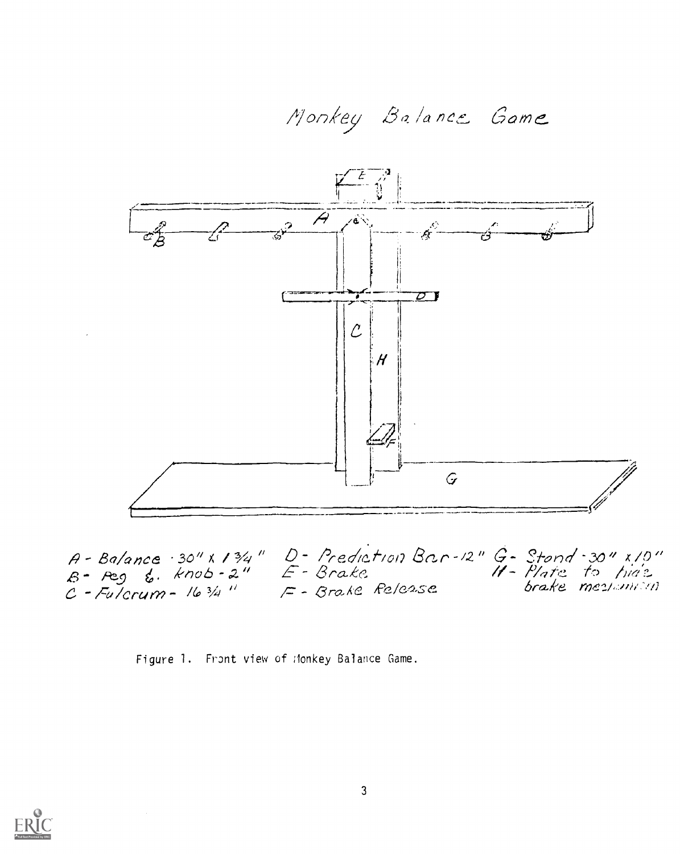

 $A - BA/ance \cdot 30''$  x 13/4"  $D - Prediction$   $Bar - 12''$   $G - Stond - 30''$  x 10"<br> $B - Peg$   $g$ . knob  $-2''$   $F - Brake$ <br> $C - Fulorum - 163/4''$   $F - Brake$   $Relcase$   $Brake$   $mez/unit/10$ 

Figure 1. Front view of Monkey Balance Game.

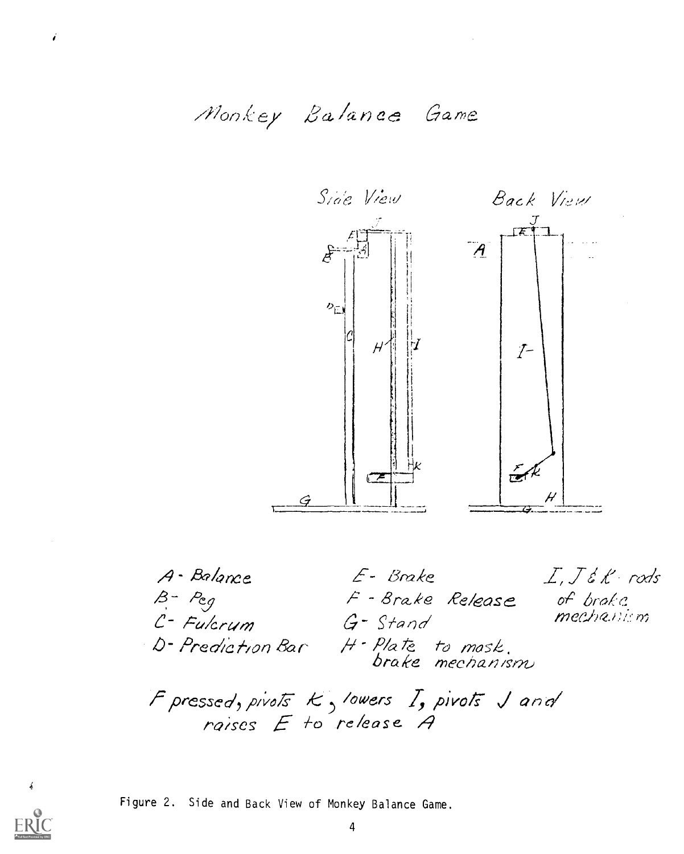

A-Balance E- Brake B- Peg<br>C- Fulcrum F - Brake Release of brake G-Stand D-Prediction Bar H-Plate to mosk.<br>D-Prediction Bar H-Plate mechanism F pressed, pivots  $k$ , lowers  $I$ , pivots  $J$  and<br>raises  $E$  to release  $A$ 



Figure 2. Side and Back View of Monkey Balance Game.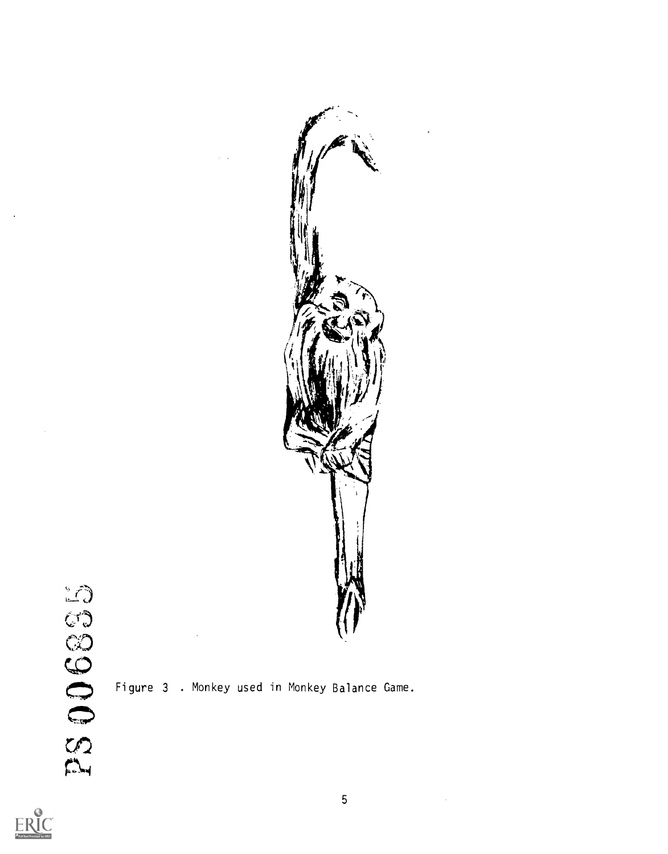







 $\bar{z}$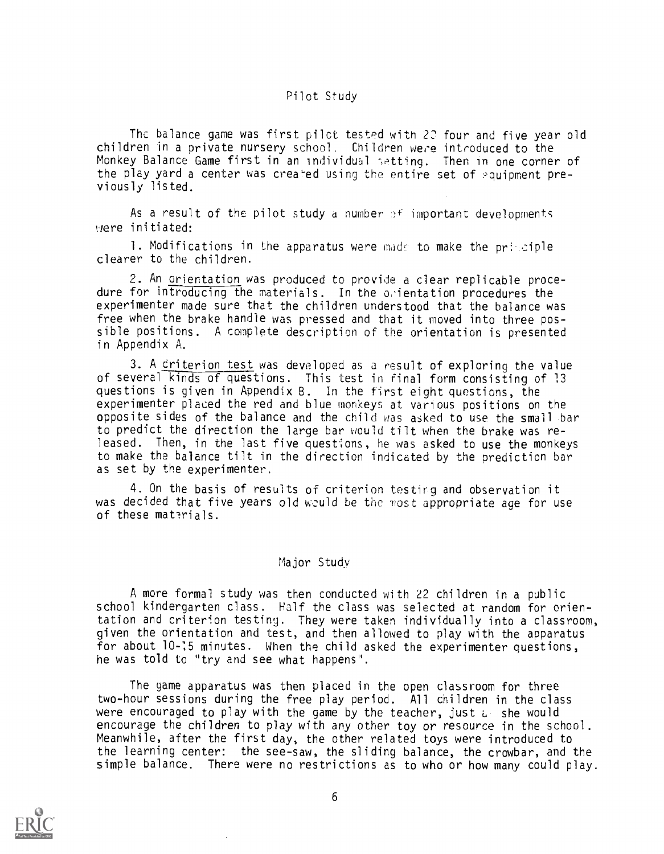### Pilot Study

The balance game was first pilot tested with 20 four and five year old children in a private nursery school, Children were introduced to the Monkey Balance Game first in an individual setting. Then in one corner of the play yard a center was created using the entire set of equipment previously listed.

As a result of the pilot study a number  $\beta^+$  important developments ,Jere initiated:

1. Modifications in the apparatus were made to make the principle clearer to the children.

2. An orientation was produced to provide a clear replicable procedure for introducing the materials. In the orientation procedures the experimenter made sure that the children understood that the balance was free when the brake handle was pressed and that it moved into three possible positions. A complete description of the orientation is presented in Appendix A.

3. A criterion test was developed as a result of exploring the value of several kinds of questions. This test in Final form consisting of 13 questions is given in Appendix B. In the first eight questions, the experimenter placed the red and blue monkeys at various positions on the opposite sides of the balance and the child was asked to use the small bar to predict the direction the large bar would tilt when the brake was released. Then, in the last five questions, he was asked to use the monkeys to make the balance tilt in the direction indicated by the prediction bar as set by the experimenter.

4. On the basis of results of criterion testirg and observation it was decided that five years old weuld be the most appropriate age for use of these materials.

### Major Study

A more formal study was then conducted with 22 children in a public school kindergarten class. Half the class was selected at random for orientation and criterion testing. They were taken individually into a classroom, given the orientation and test, and then allowed to play with the apparatus for about 10-15 minutes. When the child asked the experimenter questions, he was told to "try and see what happens".

The game apparatus was then placed in the open classroom for three two-hour sessions during the free play period. All children in the class were encouraged to play with the game by the teacher, just a she would encourage the children to play with any other toy or resource in the school. Meanwhile, after the first day, the other related toys were introduced to the learning center: the see-saw, the sliding balance, the crowbar, and the simple balance. There were no restrictions as to who or how many could play.

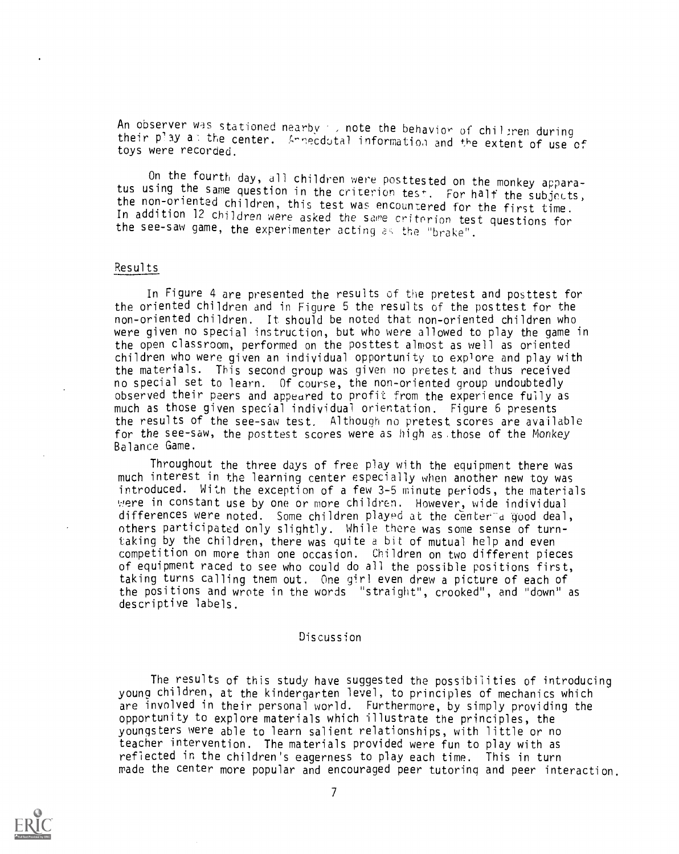An observer was stationed nearby , note the behavior of children during their play at the center. ...Friecdotal information and the extent of use of toys were recorded.

On the fourth day, all children were posttested on the monkey appara-<br>tus using the same question in the criterion test. For half the subjects,<br>the non-oriented children, this test was encountered for the first time.<br>In ad the see-saw game, the experimenter acting as the "brake".

### Results

In Figure 4 are presented the results of the pretest and posttest for the oriented children and in Figure 5 the results of the posttest for the non-oriented children. It should be noted that non-oriented children who were given no special instruction, but who were allowed to play the game in the open classroom, performed on the posttest almost as well as oriented children who were given an individual opportunity to explore and play with the materials. This second group was given no pretest and thus received no special set to learn. Of course, the non-oriented group undoubtedly observed their peers and appeared to profit from the experience fully as much as those given special individual orientation. Figure 6 presents the results of the see-saw test. Although no pretest scores are available for the see-saw, the posttest scores were as high as.those of the Monkey Balance Game.

Throughout the three days of free play with the equipment there was much interest in the learning center especially when another new toy was introduced. With the exception of a few 3-5 minute periods, the materials were in constant use by one or more children. However, wide individual differences were noted. Some children played at the center-a good deal, others participated only slightly. While there was some sense of turntaking by the children, there was quite a bit of mutual help and even competition on more than one occasion. Children on two different pieces of equipment raced to see who could do all the possible positions first, taking turns calling them out. One girl even drew a picture of each of the positions and wrote in the words "straight", crooked", and "down" as descriptive labels.

### Discussion

The results of this study have suggested the possibilities of introducing young children, at the kindergarten level, to principles of mechanics which are involved in their personal world. Furthermore, by simply providing the opportunity to explore materials which illustrate the principles, the youngsters were able to learn salient relationships, with little or no teacher intervention. The materials provided were fun to play with as reflected in the children's eagerness to play each time. This in turn made the center more popular and encouraged peer tutoring and peer interaction.

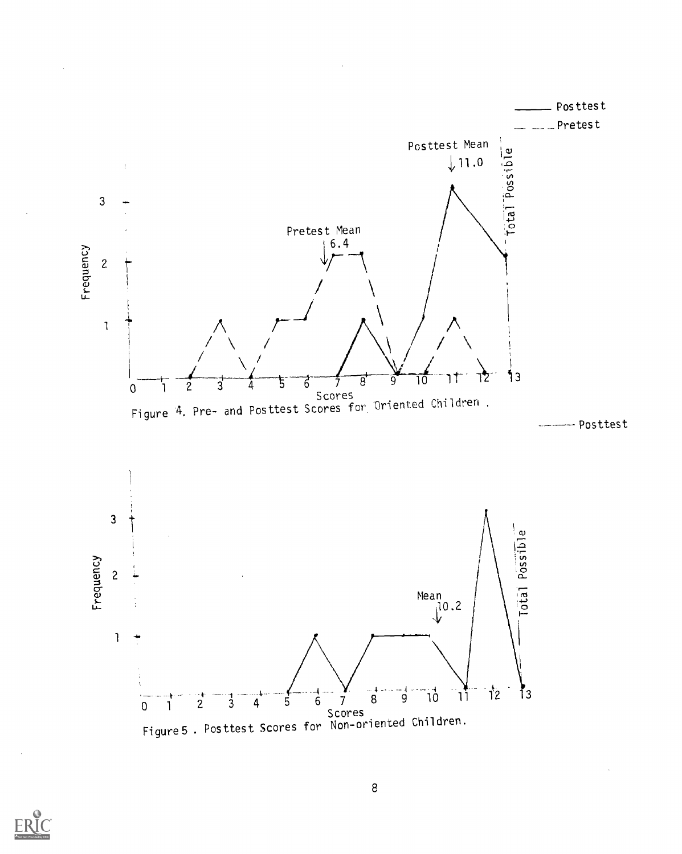





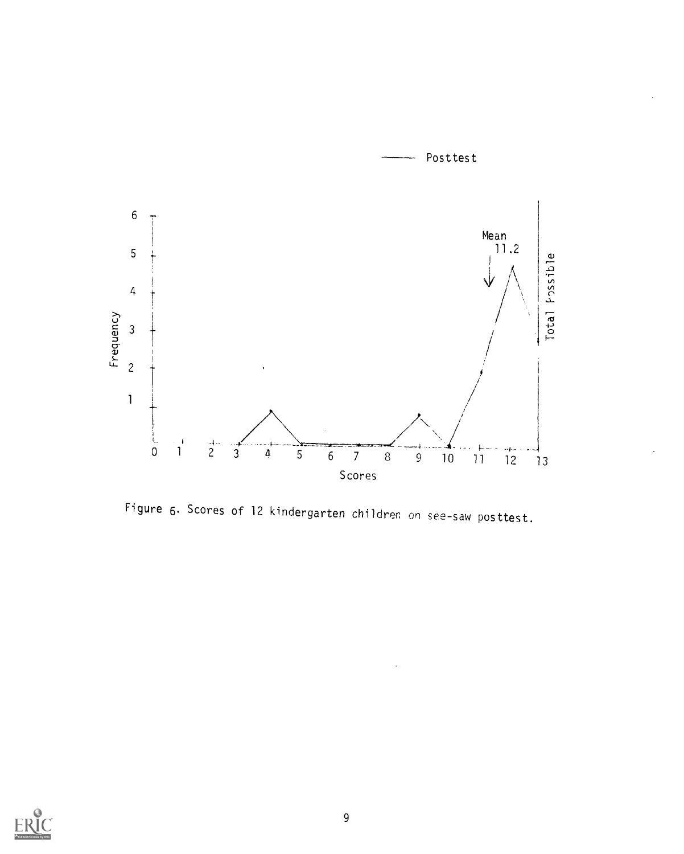

Figure 6. Scores of 12 kindergarten children on see-saw posttest.

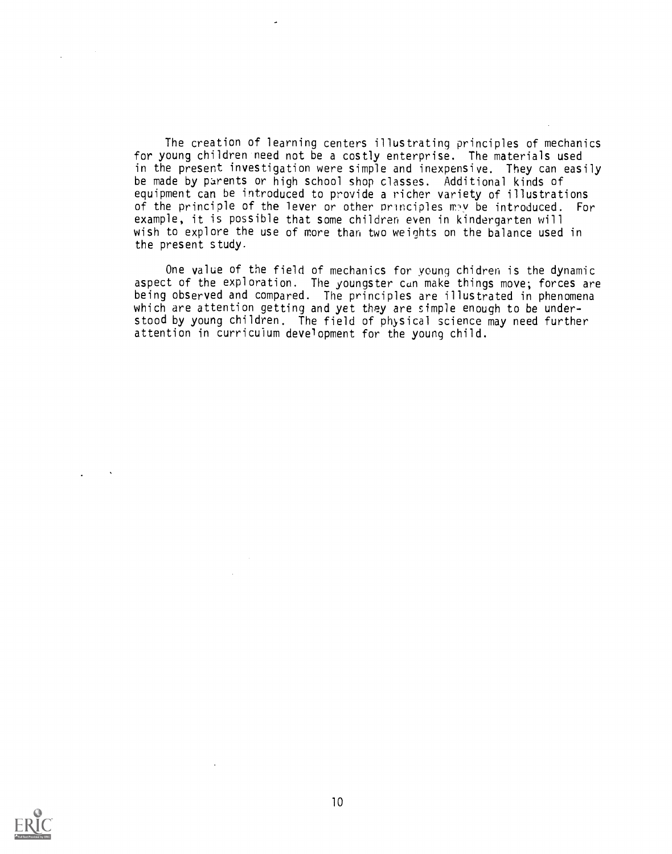The creation of learning centers illustrating principles of mechanics for young children need not be a costly enterprise. The materials used in the present investigation were simple and inexpensive. They can easily be made by parents or high school shop classes. Additional kinds of equipment can be introduced to provide a richer variety of illustrations of the principle of the lever or other principles may be introduced. For example, it is possible that some children even in kindergarten will wish to explore the use of more than two weights on the balance used in the present study.

One value of the field of mechanics for young chidren is the dynamic aspect of the exploration. The youngster can make things move; forces are being observed and compared. The principles are illustrated in phenomena which are attention getting and yet they are simple enough to be understood by young children. The field of physical science may need further attention in curriculum development for the young child.

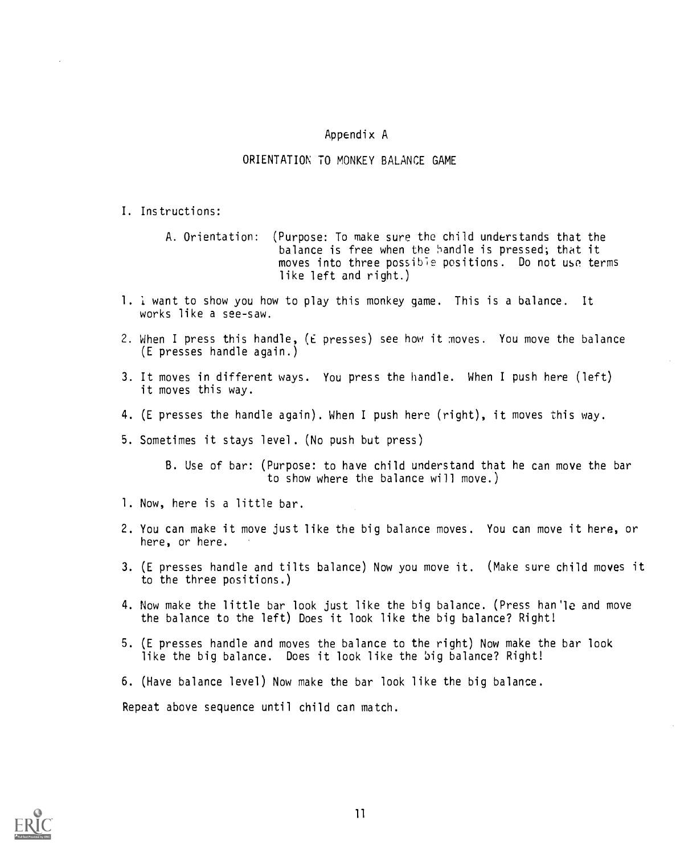# Appendix A

## ORIENTATION TO MONKEY BALANCE GAME

- I. Instructions:
	- A. Orientation: (Purpose: To make sure the child understands that the balance is free when the handle is pressed; that it moves into three possible positions. Do not use terms like left and right.)
- 1. I want to show you how to play this monkey game. This is a balance. It works like a see-saw.
- 2. When I press this handle, (E presses) see how it moves. You move the balance (E presses handle again.)
- 3. It moves in different ways. You press the handle. When I push here (left) it moves this way.
- 4. (E presses the handle again). When I push here (right), it moves this way.
- 5. Sometimes it stays level. (No push but press)
	- B. Use of bar: (Purpose: to have child understand that he can move the bar to show where the balance will move.)
- 1. Now, here is a little bar.
- 2. You can make it move just like the big balance moves. You can move it here, or here, or here.
- 3. (E presses handle and tilts balance) Now you move it. (Make sure child moves it to the three positions.)
- 4. Now make the little bar look just like the big balance. (Press han'le and move the balance to the left) Does it look like the big balance? Right!
- 5. (E presses handle and moves the balance to the right) Now make the bar look like the big balance. Does it look like the big balance? Right!
- 6. (Have balance level) Now make the bar look like the big balance.

Repeat above sequence until child can match.